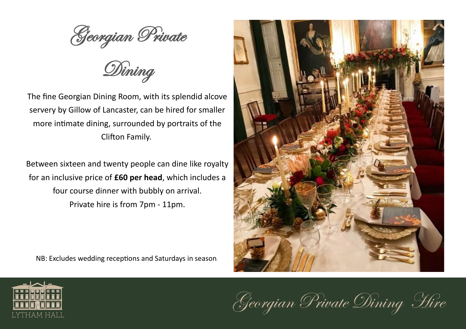Georgian Private

Dining

The fine Georgian Dining Room, with its splendid alcove servery by Gillow of Lancaster, can be hired for smaller more intimate dining, surrounded by portraits of the Clifton Family.

Between sixteen and twenty people can dine like royalty for an inclusive price of **£60 per head**, which includes a four course dinner with bubbly on arrival. Private hire is from 7pm - 11pm.

NB: Excludes wedding receptions and Saturdays in season.





Georgian Private Dining Hire